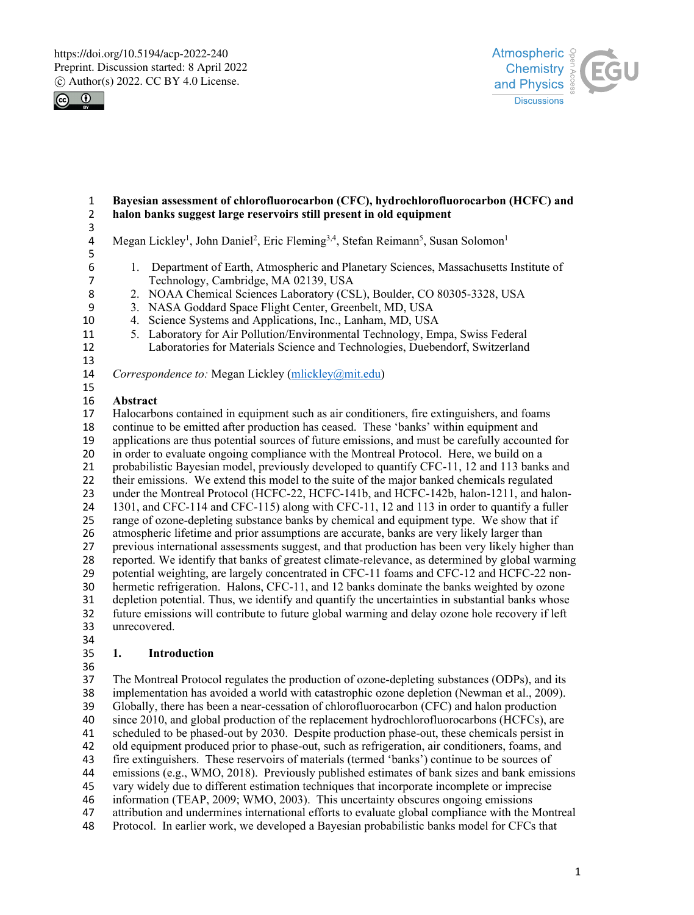



#### **Bayesian assessment of chlorofluorocarbon (CFC), hydrochlorofluorocarbon (HCFC) and halon banks suggest large reservoirs still present in old equipment**

- 
- 4 Megan Lickley<sup>1</sup>, John Daniel<sup>2</sup>, Eric Fleming<sup>3,4</sup>, Stefan Reimann<sup>5</sup>, Susan Solomon<sup>1</sup>
- 1. Department of Earth, Atmospheric and Planetary Sciences, Massachusetts Institute of 7 Technology, Cambridge, MA 02139, USA<br>8 2. NOAA Chemical Sciences Laboratory (CS
- 8 2. NOAA Chemical Sciences Laboratory (CSL), Boulder, CO 80305-3328, USA<br>9 3. NASA Goddard Space Flight Center, Greenbelt, MD, USA
	- 3. NASA Goddard Space Flight Center, Greenbelt, MD, USA
- 4. Science Systems and Applications, Inc., Lanham, MD, USA
- - 11 5. Laboratory for Air Pollution/Environmental Technology, Empa, Swiss Federal<br>12 Laboratories for Materials Science and Technologies, Duebendorf, Switzerland Laboratories for Materials Science and Technologies, Duebendorf, Switzerland
	-

*Correspondence to:* Megan Lickley (mlickley@mit.edu)

 **Abstract**

 Halocarbons contained in equipment such as air conditioners, fire extinguishers, and foams continue to be emitted after production has ceased. These 'banks' within equipment and 19 applications are thus potential sources of future emissions, and must be carefully accounted for<br>20 in order to evaluate ongoing compliance with the Montreal Protocol. Here, we build on a in order to evaluate ongoing compliance with the Montreal Protocol. Here, we build on a 21 probabilistic Bayesian model, previously developed to quantify CFC-11, 12 and 113 banks and their emissions. We extend this model to the suite of the major banked chemicals regulated their emissions. We extend this model to the suite of the major banked chemicals regulated 23 under the Montreal Protocol (HCFC-22, HCFC-141b, and HCFC-142b, halon-1211, and halon-24 1301, and CFC-114 and CFC-115) along with CFC-11, 12 and 113 in order to quantify a fuller range of ozone-depleting substance banks by chemical and equipment type. We show that if range of ozone-depleting substance banks by chemical and equipment type. We show that if atmospheric lifetime and prior assumptions are accurate, banks are very likely larger than previous international assessments suggest, and that production has been very likely higher than reported. We identify that banks of greatest climate-relevance, as determined by global warming potential weighting, are largely concentrated in CFC-11 foams and CFC-12 and HCFC-22 non- hermetic refrigeration. Halons, CFC-11, and 12 banks dominate the banks weighted by ozone depletion potential. Thus, we identify and quantify the uncertainties in substantial banks whose future emissions will contribute to future global warming and delay ozone hole recovery if left unrecovered. 

# **1. Introduction**

 The Montreal Protocol regulates the production of ozone-depleting substances (ODPs), and its implementation has avoided a world with catastrophic ozone depletion (Newman et al., 2009). Globally, there has been a near-cessation of chlorofluorocarbon (CFC) and halon production since 2010, and global production of the replacement hydrochlorofluorocarbons (HCFCs), are scheduled to be phased-out by 2030. Despite production phase-out, these chemicals persist in old equipment produced prior to phase-out, such as refrigeration, air conditioners, foams, and 43 fire extinguishers. These reservoirs of materials (termed 'banks') continue to be sources of emissions (e.g., WMO, 2018). Previously published estimates of bank sizes and bank emiss emissions (e.g., WMO, 2018). Previously published estimates of bank sizes and bank emissions vary widely due to different estimation techniques that incorporate incomplete or imprecise information (TEAP, 2009; WMO, 2003). This uncertainty obscures ongoing emissions attribution and undermines international efforts to evaluate global compliance with the Montreal Protocol. In earlier work, we developed a Bayesian probabilistic banks model for CFCs that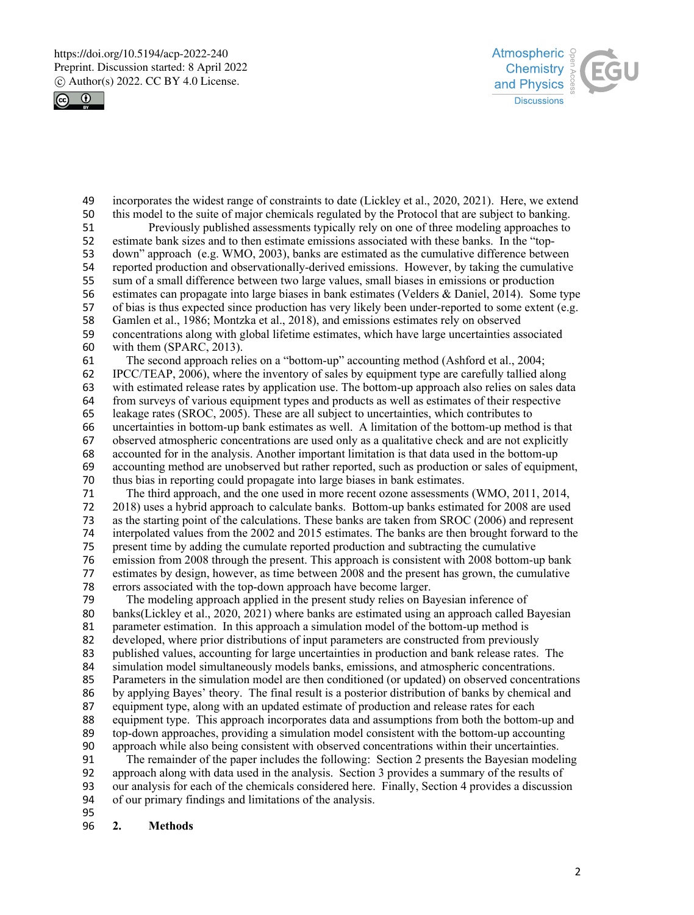



49 incorporates the widest range of constraints to date (Lickley et al., 2020, 2021). Here, we extend this model to the suite of major chemicals regulated by the Protocol that are subject to banking. 50 this model to the suite of major chemicals regulated by the Protocol that are subject to banking.<br>51 Previously published assessments typically rely on one of three modeling approaches to Previously published assessments typically rely on one of three modeling approaches to 52 estimate bank sizes and to then estimate emissions associated with these banks. In the "top-53 down" approach (e.g. WMO, 2003), banks are estimated as the cumulative difference between 54 reported production and observationally-derived emissions. However, by taking the cumulative<br>55 sum of a small difference between two large values, small biases in emissions or production 55 sum of a small difference between two large values, small biases in emissions or production estimates can propagate into large biases in bank estimates (Velders & Daniel, 2014). Some 56 estimates can propagate into large biases in bank estimates (Velders & Daniel, 2014). Some type 57 of bias is thus expected since production has very likely been under-reported to some extent (e.g. 58 Gamlen et al., 1986; Montzka et al., 2018), and emissions estimates rely on observed concentrations along with global lifetime estimates, which have large uncertainties as 59 concentrations along with global lifetime estimates, which have large uncertainties associated 60 with them (SPARC, 2013). 61 The second approach relies on a "bottom-up" accounting method (Ashford et al., 2004; 62 IPCC/TEAP, 2006), where the inventory of sales by equipment type are carefully tallied along 63 with estimated release rates by application use. The bottom-up approach also relies on sales data from surveys of various equipment types and products as well as estimates of their respective from surveys of various equipment types and products as well as estimates of their respective 65 leakage rates (SROC, 2005). These are all subject to uncertainties, which contributes to 66 uncertainties in bottom-up bank estimates as well. A limitation of the bottom-up method is that 67 observed atmospheric concentrations are used only as a qualitative check and are not explicitly<br>68 accounted for in the analysis. Another important limitation is that data used in the bottom-up 68 accounted for in the analysis. Another important limitation is that data used in the bottom-up accounting method are unobserved but rather reported, such as production or sales of equipm 69 accounting method are unobserved but rather reported, such as production or sales of equipment,<br>70 thus bias in reporting could propagate into large biases in bank estimates. thus bias in reporting could propagate into large biases in bank estimates. 71 The third approach, and the one used in more recent ozone assessments (WMO, 2011, 2014, 2018) uses a hybrid approach to calculate banks. Bottom-up banks estimated for 2008 are used<br>3 as the starting point of the calculations. These banks are taken from SROC (2006) and represent as the starting point of the calculations. These banks are taken from SROC (2006) and represent 74 interpolated values from the 2002 and 2015 estimates. The banks are then brought forward to the 75 present time by adding the cumulate reported production and subtracting the cumulative 76 emission from 2008 through the present. This approach is consistent with 2008 bottom-up bank 77 estimates by design, however, as time between 2008 and the present has grown, the cumulative 78 errors associated with the top-down approach have become larger.<br>79 The modeling approach applied in the present study relies on Ba The modeling approach applied in the present study relies on Bayesian inference of 80 banks(Lickley et al., 2020, 2021) where banks are estimated using an approach called Bayesian 81 parameter estimation. In this approach a simulation model of the bottom-up method is 82 developed, where prior distributions of input parameters are constructed from previously 83 published values, accounting for large uncertainties in production and bank release rates. The simulation model simultaneously models banks, emissions, and atmospheric concentrations. simulation model simultaneously models banks, emissions, and atmospheric concentrations. 85 Parameters in the simulation model are then conditioned (or updated) on observed concentrations 86 by applying Bayes' theory. The final result is a posterior distribution of banks by chemical and 87 equipment type, along with an updated estimate of production and release rates for each

88 equipment type. This approach incorporates data and assumptions from both the bottom-up and 89 top-down approaches, providing a simulation model consistent with the bottom-up accounting 90 approach while also being consistent with observed concentrations within their uncertainties.

91 The remainder of the paper includes the following: Section 2 presents the Bayesian modeling<br>92 approach along with data used in the analysis. Section 3 provides a summary of the results of 92 approach along with data used in the analysis. Section 3 provides a summary of the results of our analysis for each of the chemicals considered here. Finally, Section 4 provides a discussio 93 our analysis for each of the chemicals considered here. Finally, Section 4 provides a discussion 94 of our primary findings and limitations of the analysis.

- 95
- 96 **2. Methods**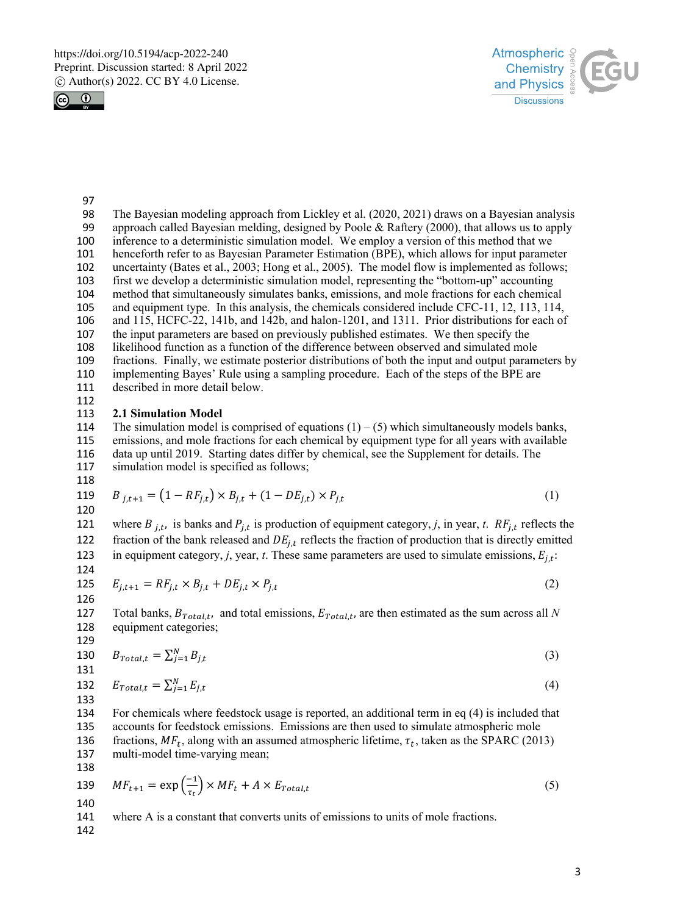



97<br>98

- The Bayesian modeling approach from Lickley et al. (2020, 2021) draws on a Bayesian analysis 99 approach called Bayesian melding, designed by Poole & Raftery (2000), that allows us to apply inference to a deterministic simulation model. We employ a version of this method that we henceforth refer to as Bayesian Parameter Estimation (BPE), which allows for input parameter
- uncertainty (Bates et al., 2003; Hong et al., 2005). The model flow is implemented as follows;
- first we develop a deterministic simulation model, representing the "bottom-up" accounting
- method that simultaneously simulates banks, emissions, and mole fractions for each chemical
- and equipment type. In this analysis, the chemicals considered include CFC-11, 12, 113, 114,
- and 115, HCFC-22, 141b, and 142b, and halon-1201, and 1311. Prior distributions for each of
- the input parameters are based on previously published estimates. We then specify the likelihood function as a function of the difference between observed and simulated mole
- fractions. Finally, we estimate posterior distributions of both the input and output parameters by
- implementing Bayes' Rule using a sampling procedure. Each of the steps of the BPE are
- described in more detail below.
- 

# **2.1 Simulation Model**

- 114 The simulation model is comprised of equations  $(1) (5)$  which simultaneously models banks, emissions, and mole fractions for each chemical by equipment type for all years with available data up until 2019. Starting dates differ by chemical, see the Supplement for details. The simulation model is specified as follows;
- 

119 
$$
B_{j,t+1} = (1 - RF_{j,t}) \times B_{j,t} + (1 - DE_{j,t}) \times P_{j,t}
$$
 (1)  
120

121 where  $B_{j,t}$ , is banks and  $P_{j,t}$  is production of equipment category, *j*, in year, *t*.  $RF_{j,t}$  reflects the 122 fraction of the bank released and  $DE_{j,t}$  reflects the fraction of production that is directly emitted 123 in equipment category, *j*, year, *t*. These same parameters are used to simulate emissions,  $E_{i,t}$ : 

125 
$$
E_{j,t+1} = RF_{j,t} \times B_{j,t} + DE_{j,t} \times P_{j,t}
$$
 (2)

Total banks,  $B_{Total,t}$ , and total emissions,  $E_{Total,t}$ , are then estimated as the sum across all *N* equipment categories; equipment categories;

129  
130 
$$
B_{Total,t} = \sum_{j=1}^{N} B_{j,t}
$$
 (3)

132 
$$
E_{Total,t} = \sum_{j=1}^{N} E_{j,t}
$$
 (4)

 For chemicals where feedstock usage is reported, an additional term in eq (4) is included that accounts for feedstock emissions. Emissions are then used to simulate atmospheric mole 136 fractions,  $MF_t$ , along with an assumed atmospheric lifetime,  $\tau_t$ , taken as the SPARC (2013) nulti-model time-varying mean; multi-model time-varying mean;

$$
139 \quad MF_{t+1} = \exp\left(\frac{-1}{\tau_t}\right) \times MF_t + A \times E_{Total,t} \tag{5}
$$

where A is a constant that converts units of emissions to units of mole fractions.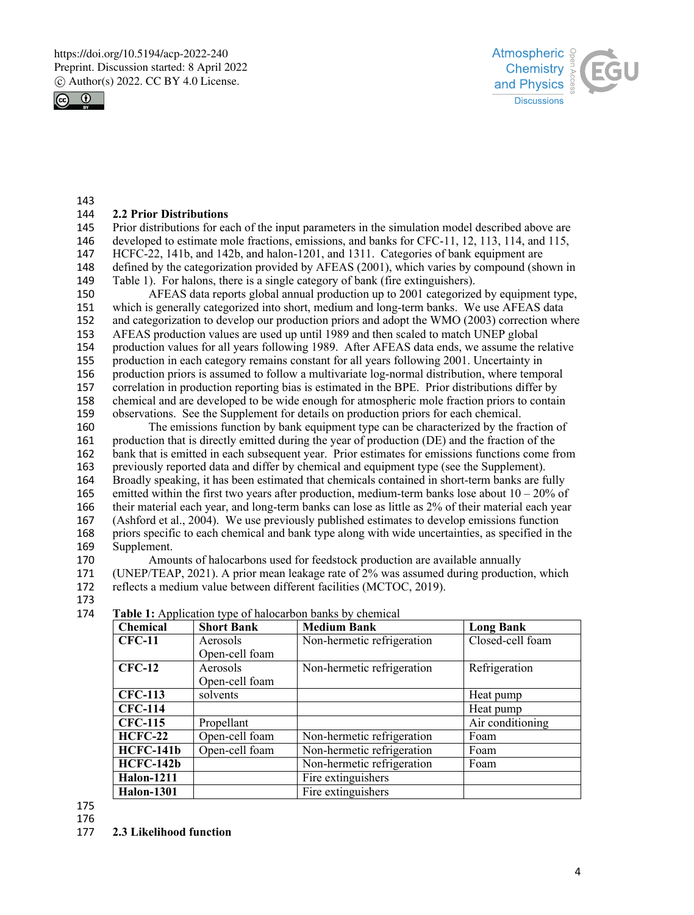



143<br>144

### 144 **2.2 Prior Distributions**

 Prior distributions for each of the input parameters in the simulation model described above are developed to estimate mole fractions, emissions, and banks for CFC-11, 12, 113, 114, and 115, HCFC-22, 141b, and 142b, and halon-1201, and 1311. Categories of bank equipment are defined by the categorization provided by AFEAS (2001), which varies by compound (shown in

149 Table 1). For halons, there is a single category of bank (fire extinguishers).<br>150 AFEAS data reports global annual production up to 2001 categorize AFEAS data reports global annual production up to 2001 categorized by equipment type, 151 which is generally categorized into short, medium and long-term banks. We use AFEAS data 152 and categorization to develop our production priors and adopt the WMO (2003) correction where<br>153 AFEAS production values are used up until 1989 and then scaled to match UNEP global AFEAS production values are used up until 1989 and then scaled to match UNEP global 154 production values for all years following 1989. After AFEAS data ends, we assume the relative 155 production in each category remains constant for all years following 2001. Uncertainty in 156 production priors is assumed to follow a multivariate log-normal distribution, where temporal 157 correlation in production reporting bias is estimated in the BPE. Prior distributions differ by<br>158 chemical and are developed to be wide enough for atmospheric mole fraction priors to contain 158 chemical and are developed to be wide enough for atmospheric mole fraction priors to contain 159 observations. See the Supplement for details on production priors for each chemical.

 The emissions function by bank equipment type can be characterized by the fraction of production that is directly emitted during the year of production (DE) and the fraction of the bank that is emitted in each subsequent year. Prior estimates for emissions functions come from 163 previously reported data and differ by chemical and equipment type (see the Supplement).<br>164 Broadly speaking, it has been estimated that chemicals contained in short-term banks are f Broadly speaking, it has been estimated that chemicals contained in short-term banks are fully 165 emitted within the first two years after production, medium-term banks lose about  $10-20\%$  of their material each year, and long-term banks can lose as little as 2% of their material each year (Ashford et al., 2004). We use previously published estimates to develop emissions function priors specific to each chemical and bank type along with wide uncertainties, as specified in the Supplement.

170 Amounts of halocarbons used for feedstock production are available annually 171 (UNEP/TEAP, 2021). A prior mean leakage rate of 2% was assumed during production, which

172 reflects a medium value between different facilities (MCTOC, 2019).

173

| 174 | <b>Table 1:</b> Application type of halocarbon banks by chemical |  |
|-----|------------------------------------------------------------------|--|
|     |                                                                  |  |

| Chemical          | <b>Short Bank</b> | <b>Medium Bank</b>         | <b>Long Bank</b> |
|-------------------|-------------------|----------------------------|------------------|
| <b>CFC-11</b>     | Aerosols          | Non-hermetic refrigeration | Closed-cell foam |
|                   | Open-cell foam    |                            |                  |
| <b>CFC-12</b>     | Aerosols          | Non-hermetic refrigeration | Refrigeration    |
|                   | Open-cell foam    |                            |                  |
| <b>CFC-113</b>    | solvents          |                            | Heat pump        |
| <b>CFC-114</b>    |                   |                            | Heat pump        |
| <b>CFC-115</b>    | Propellant        |                            | Air conditioning |
| <b>HCFC-22</b>    | Open-cell foam    | Non-hermetic refrigeration | Foam             |
| <b>HCFC-141b</b>  | Open-cell foam    | Non-hermetic refrigeration | Foam             |
| <b>HCFC-142b</b>  |                   | Non-hermetic refrigeration | Foam             |
| <b>Halon-1211</b> |                   | Fire extinguishers         |                  |
| <b>Halon-1301</b> |                   | Fire extinguishers         |                  |

175 176

177 **2.3 Likelihood function**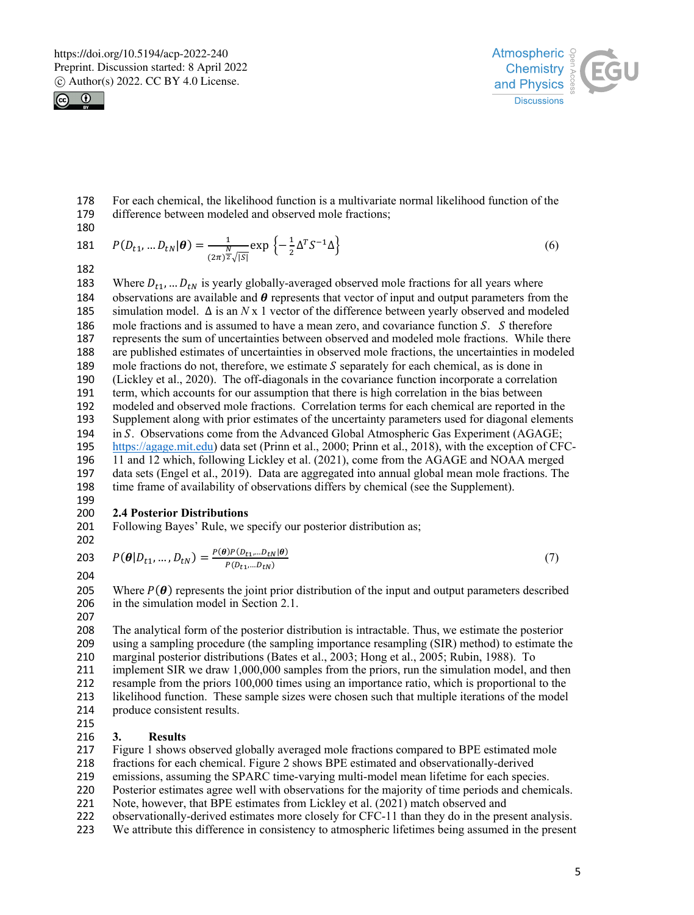



178 For each chemical, the likelihood function is a multivariate normal likelihood function of the 179 difference between modeled and observed mole fractions: difference between modeled and observed mole fractions;

$$
180 \\
$$

181 
$$
P(D_{t1},...D_{tN}|\boldsymbol{\theta}) = \frac{1}{(2\pi)^{\frac{N}{2}}\sqrt{|S|}} \exp \left\{-\frac{1}{2}\Delta^T S^{-1} \Delta\right\}
$$
 (6)

182

183 Where  $D_{t1}$ , ...  $D_{tN}$  is yearly globally-averaged observed mole fractions for all years where 184 observations are available and  $\theta$  represents that vector of input and output parameters from the 185 simulation model.  $\Delta$  is an *N* x 1 vector of the difference between yearly observed and modeled 186 mole fractions and is assumed to have a mean zero, and covariance function S. S therefore 187 represents the sum of uncertainties between observed and modeled mole fractions. While there 188 are published estimates of uncertainties in observed mole fractions, the uncertainties in modeled are published estimates of uncertainties in observed mole fractions, the uncertainties in modeled 189 mole fractions do not, therefore, we estimate  $S$  separately for each chemical, as is done in 190 (Lickley et al., 2020). The off-diagonals in the covariance function incorporate a correlation 191 term, which accounts for our assumption that there is high correlation in the bias between 192 modeled and observed mole fractions. Correlation terms for each chemical are reported in the 193 Supplement along with prior estimates of the uncertainty parameters used for diagonal elements 194 in S. Observations come from the Advanced Global Atmospheric Gas Experiment (AGAGE; 195 https://agage.mit.edu) data set (Prinn et al., 2000; Prinn et al., 2018), with the exception of CFC-196 11 and 12 which, following Lickley et al. (2021), come from the AGAGE and NOAA merged 197 data sets (Engel et al., 2019). Data are aggregated into annual global mean mole fractions. The 198 time frame of availability of observations differs by chemical (see the Supplement).

#### 199<br>200 **2.4 Posterior Distributions**

201 Following Bayes' Rule, we specify our posterior distribution as;

202

$$
P(\boldsymbol{\theta}|D_{t1},...,D_{tN}) = \frac{P(\boldsymbol{\theta})P(D_{t1},...D_{tN}|\boldsymbol{\theta})}{P(D_{t1},...D_{tN})}
$$
(7)

205 Where  $P(\theta)$  represents the joint prior distribution of the input and output parameters described 206 in the simulation model in Section 2.1.

207

 The analytical form of the posterior distribution is intractable. Thus, we estimate the posterior 209 using a sampling procedure (the sampling importance resampling (SIR) method) to estimate the 210 marginal posterior distributions (Bates et al., 2003; Hong et al., 2005; Rubin, 1988). To marginal posterior distributions (Bates et al., 2003; Hong et al., 2005; Rubin, 1988). To implement SIR we draw 1,000,000 samples from the priors, run the simulation model, and then resample from the priors 100,000 times using an importance ratio, which is proportional to the likelihood function. These sample sizes were chosen such that multiple iterations of the model produce consistent results. 215<br>216

# 216 **3. Results**

217 Figure 1 shows observed globally averaged mole fractions compared to BPE estimated mole

218 fractions for each chemical. Figure 2 shows BPE estimated and observationally-derived

219 emissions, assuming the SPARC time-varying multi-model mean lifetime for each species.

220 Posterior estimates agree well with observations for the majority of time periods and chemicals.

221 Note, however, that BPE estimates from Lickley et al. (2021) match observed and

- 222 observationally-derived estimates more closely for CFC-11 than they do in the present analysis.
- 223 We attribute this difference in consistency to atmospheric lifetimes being assumed in the present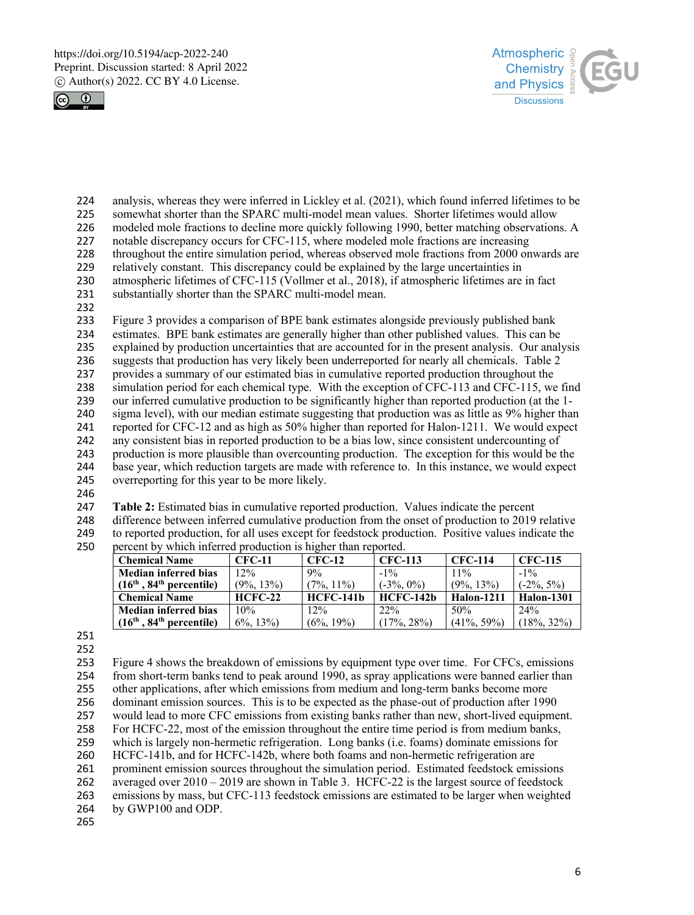



- 224 analysis, whereas they were inferred in Lickley et al. (2021), which found inferred lifetimes to be 225 somewhat shorter than the SPARC multi-model mean values. Shorter lifetimes would allow
- somewhat shorter than the SPARC multi-model mean values. Shorter lifetimes would allow 226 modeled mole fractions to decline more quickly following 1990, better matching observations. A
- 227 notable discrepancy occurs for CFC-115, where modeled mole fractions are increasing
- 228 throughout the entire simulation period, whereas observed mole fractions from 2000 onwards are
- 
- 229 relatively constant. This discrepancy could be explained by the large uncertainties in<br>230 atmospheric lifetimes of CFC-115 (Vollmer et al., 2018), if atmospheric lifetimes are atmospheric lifetimes of CFC-115 (Vollmer et al., 2018), if atmospheric lifetimes are in fact
- 231 substantially shorter than the SPARC multi-model mean.
- 232

233 Figure 3 provides a comparison of BPE bank estimates alongside previously published bank estimates. BPE bank estimates are generally higher than other published values. This can be 235 explained by production uncertainties that are accounted for in the present analysis. Our analysis 236 suggests that production has very likely been underreported for nearly all chemicals. Table 2 237 provides a summary of our estimated bias in cumulative reported production throughout the 238 simulation period for each chemical type. With the exception of CFC-113 and CFC-115, we find<br>239 our inferred cumulative production to be significantly higher than reported production (at the 1our inferred cumulative production to be significantly higher than reported production (at the 1-240 sigma level), with our median estimate suggesting that production was as little as 9% higher than 241 reported for CFC-12 and as high as 50% higher than reported for Halon-1211. We would expect 242 any consistent bias in reported production to be a bias low, since consistent undercounting of 243 production is more plausible than overcounting production. The exception for this would be the 244 base year, which reduction targets are made with reference to. In this instance, we would expect 245 overreporting for this year to be more likely. overreporting for this year to be more likely.

246

247 **Table 2:** Estimated bias in cumulative reported production. Values indicate the percent

248 difference between inferred cumulative production from the onset of production to 2019 relative 249 to reported production, for all uses except for feedstock production. Positive values indicate the 250 percent by which inferred production is higher than reported.

| <b>Chemical Name</b>                   | <b>CFC-11</b> | $CFC-12$      | <b>CFC-113</b>   | <b>CFC-114</b>    | <b>CFC-115</b>    |
|----------------------------------------|---------------|---------------|------------------|-------------------|-------------------|
| <b>Median inferred bias</b>            | 12%           | 9%            | $-1\%$           | $11\%$            | $-1\%$            |
| $(16th, 84th percentile)$              | $(9\%, 13\%)$ | $(7\%, 11\%)$ | $(-3\%, 0\%)$    | $(9\%, 13\%)$     | $(-2\%, 5\%)$     |
| <b>Chemical Name</b>                   | $HCFC-22$     | $HCFC-141b$   | <b>HCFC-142b</b> | <b>Halon-1211</b> | <b>Halon-1301</b> |
| <b>Median inferred bias</b>            | 10%           | 12%           | 22%              | 50%               | $2.4\%$           |
| $(16th$ , 84 <sup>th</sup> percentile) | $6\%, 13\%$   | $(6\%, 19\%)$ | $(17\%, 28\%)$   | $(41\%, 59\%)$    | $(18\%, 32\%)$    |

251

252

 Figure 4 shows the breakdown of emissions by equipment type over time. For CFCs, emissions from short-term banks tend to peak around 1990, as spray applications were banned earlier than other applications, after which emissions from medium and long-term banks become more dominant emission sources. This is to be expected as the phase-out of production after 1990 would lead to more CFC emissions from existing banks rather than new, short-lived equipment. For HCFC-22, most of the emission throughout the entire time period is from medium banks, which is largely non-hermetic refrigeration. Long banks (i.e. foams) dominate emissions for HCFC-141b, and for HCFC-142b, where both foams and non-hermetic refrigeration are prominent emission sources throughout the simulation period. Estimated feedstock emissions averaged over 2010 – 2019 are shown in Table 3. HCFC-22 is the largest source of feedstock emissions by mass, but CFC-113 feedstock emissions are estimated to be larger when weighted by GWP100 and ODP.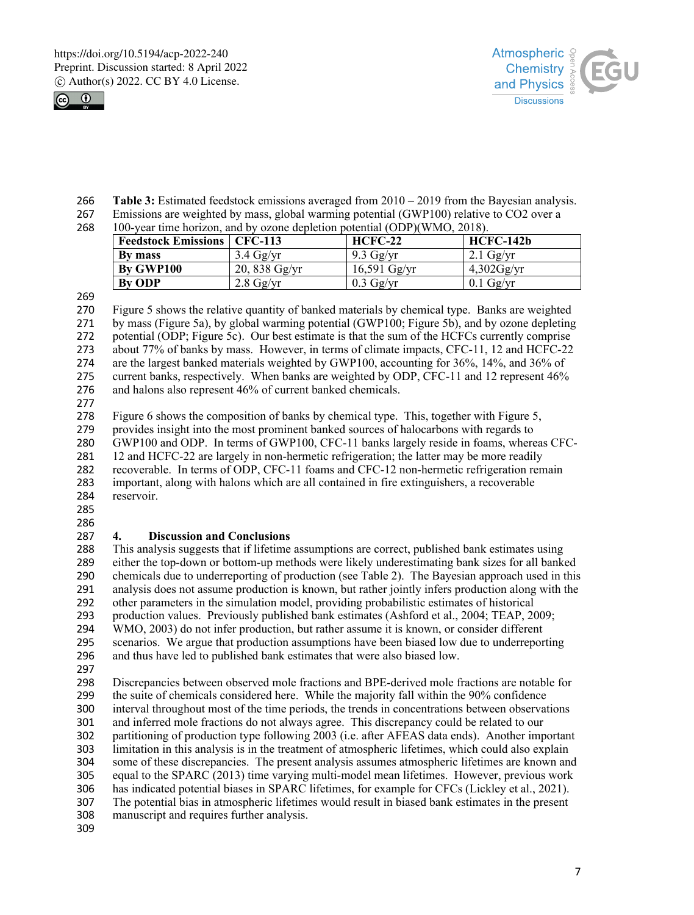



- **Table 3:** Estimated feedstock emissions averaged from 2010 2019 from the Bayesian analysis.
- Emissions are weighted by mass, global warming potential (GWP100) relative to CO2 over a
- 

| 268 | 100-year time horizon, and by ozone depletion potential (ODP)(WMO, 2018). |                |                     |               |  |
|-----|---------------------------------------------------------------------------|----------------|---------------------|---------------|--|
|     | <b>Feedstock Emissions   CFC-113</b>                                      |                | $HCFC-22$           | HCFC-142b     |  |
|     | By mass                                                                   | $3.4$ Gg/yr    | $9.3 \text{ Gg/yr}$ | $2.1$ Gg/yr   |  |
|     | By GWP100                                                                 | $20,838$ Gg/yr | $16,591$ Gg/yr      | $4,302$ Gg/yr |  |
|     | <b>By ODP</b>                                                             | $2.8$ Gg/yr    | $0.3 \text{ Gg/yr}$ | $0.1$ Gg/yr   |  |

 Figure 5 shows the relative quantity of banked materials by chemical type. Banks are weighted 271 by mass (Figure 5a), by global warming potential (GWP100; Figure 5b), and by ozone depleting 272 potential (ODP; Figure 5c). Our best estimate is that the sum of the HCFCs currently comprise potential (ODP; Figure 5c). Our best estimate is that the sum of the HCFCs currently comprise about 77% of banks by mass. However, in terms of climate impacts, CFC-11, 12 and HCFC-22 274 are the largest banked materials weighted by GWP100, accounting for 36%, 14%, and 36% of 275 current banks, respectively. When banks are weighted by ODP, CFC-11 and 12 represent 46% current banks, respectively. When banks are weighted by ODP, CFC-11 and 12 represent 46% and halons also represent 46% of current banked chemicals.

Figure 6 shows the composition of banks by chemical type. This, together with Figure 5,

provides insight into the most prominent banked sources of halocarbons with regards to

GWP100 and ODP. In terms of GWP100, CFC-11 banks largely reside in foams, whereas CFC-

281 12 and HCFC-22 are largely in non-hermetic refrigeration; the latter may be more readily recoverable. In terms of ODP, CFC-11 foams and CFC-12 non-hermetic refrigeration remain

 important, along with halons which are all contained in fire extinguishers, a recoverable reservoir.

 

# **4. Discussion and Conclusions**

 This analysis suggests that if lifetime assumptions are correct, published bank estimates using either the top-down or bottom-up methods were likely underestimating bank sizes for all banked chemicals due to underreporting of production (see Table 2). The Bayesian approach used in this analysis does not assume production is known, but rather jointly infers production along with the other parameters in the simulation model, providing probabilistic estimates of historical production values. Previously published bank estimates (Ashford et al., 2004; TEAP, 2009; WMO, 2003) do not infer production, but rather assume it is known, or consider different scenarios. We argue that production assumptions have been biased low due to underreporting and thus have led to published bank estimates that were also biased low.

297<br>298 Discrepancies between observed mole fractions and BPE-derived mole fractions are notable for the suite of chemicals considered here. While the majority fall within the 90% confidence interval throughout most of the time periods, the trends in concentrations between observations and inferred mole fractions do not always agree. This discrepancy could be related to our partitioning of production type following 2003 (i.e. after AFEAS data ends). Another important limitation in this analysis is in the treatment of atmospheric lifetimes, which could also explain some of these discrepancies. The present analysis assumes atmospheric lifetimes are known and equal to the SPARC (2013) time varying multi-model mean lifetimes. However, previous work has indicated potential biases in SPARC lifetimes, for example for CFCs (Lickley et al., 2021). The potential bias in atmospheric lifetimes would result in biased bank estimates in the present manuscript and requires further analysis.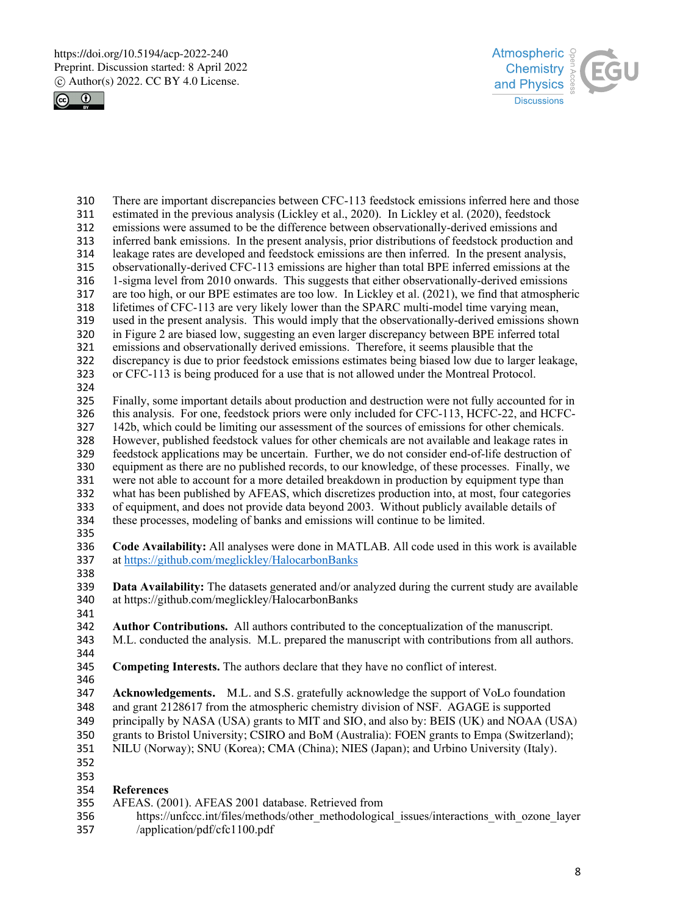



310 There are important discrepancies between CFC-113 feedstock emissions inferred here and those estimated in the previous analysis (Lickley et al., 2020). In Lickley et al. (2020), feedstock estimated in the previous analysis (Lickley et al., 2020). In Lickley et al. (2020), feedstock emissions were assumed to be the difference between observationally-derived emissions and inferred bank emissions. In the present analysis, prior distributions of feedstock production and leakage rates are developed and feedstock emissions are then inferred. In the present analysis, observationally-derived CFC-113 emissions are higher than total BPE inferred emissions at the 1-sigma level from 2010 onwards. This suggests that either observationally-derived emissions are too high, or our BPE estimates are too low. In Lickley et al. (2021), we find that atmospheric lifetimes of CFC-113 are very likely lower than the SPARC multi-model time varying mean, 319 used in the present analysis. This would imply that the observationally-derived emissions shown 320 in Figure 2 are biased low, suggesting an even larger discrepancy between BPE inferred total in Figure 2 are biased low, suggesting an even larger discrepancy between BPE inferred total emissions and observationally derived emissions. Therefore, it seems plausible that the discrepancy is due to prior feedstock emissions estimates being biased low due to larger leakage, or CFC-113 is being produced for a use that is not allowed under the Montreal Protocol. 324<br>325 Finally, some important details about production and destruction were not fully accounted for in this analysis. For one, feedstock priors were only included for CFC-113, HCFC-22, and HCFC- 142b, which could be limiting our assessment of the sources of emissions for other chemicals. However, published feedstock values for other chemicals are not available and leakage rates in feedstock applications may be uncertain. Further, we do not consider end-of-life destruction of 330 equipment as there are no published records, to our knowledge, of these processes. Finally, we 331 were not able to account for a more detailed breakdown in production by equipment type than were not able to account for a more detailed breakdown in production by equipment type than what has been published by AFEAS, which discretizes production into, at most, four categories of equipment, and does not provide data beyond 2003. Without publicly available details of these processes, modeling of banks and emissions will continue to be limited. **Code Availability:** All analyses were done in MATLAB. All code used in this work is available at https://github.com/meglickley/HalocarbonBanks 338<br>339 **Data Availability:** The datasets generated and/or analyzed during the current study are available at https://github.com/meglickley/HalocarbonBanks **Author Contributions.** All authors contributed to the conceptualization of the manuscript. M.L. conducted the analysis. M.L. prepared the manuscript with contributions from all authors. **Competing Interests.** The authors declare that they have no conflict of interest. **Acknowledgements.** M.L. and S.S. gratefully acknowledge the support of VoLo foundation and grant 2128617 from the atmospheric chemistry division of NSF. AGAGE is supported principally by NASA (USA) grants to MIT and SIO, and also by: BEIS (UK) and NOAA (USA) 350 grants to Bristol University; CSIRO and BoM (Australia): FOEN grants to Empa (Switzerland); 351 NILU (Norway); SNU (Korea); CMA (China); NIES (Japan); and Urbino University (Italy). NILU (Norway); SNU (Korea); CMA (China); NIES (Japan); and Urbino University (Italy). **References** AFEAS. (2001). AFEAS 2001 database. Retrieved from

- 356 https://unfccc.int/files/methods/other\_methodological\_issues/interactions\_with\_ozone\_layer
- /application/pdf/cfc1100.pdf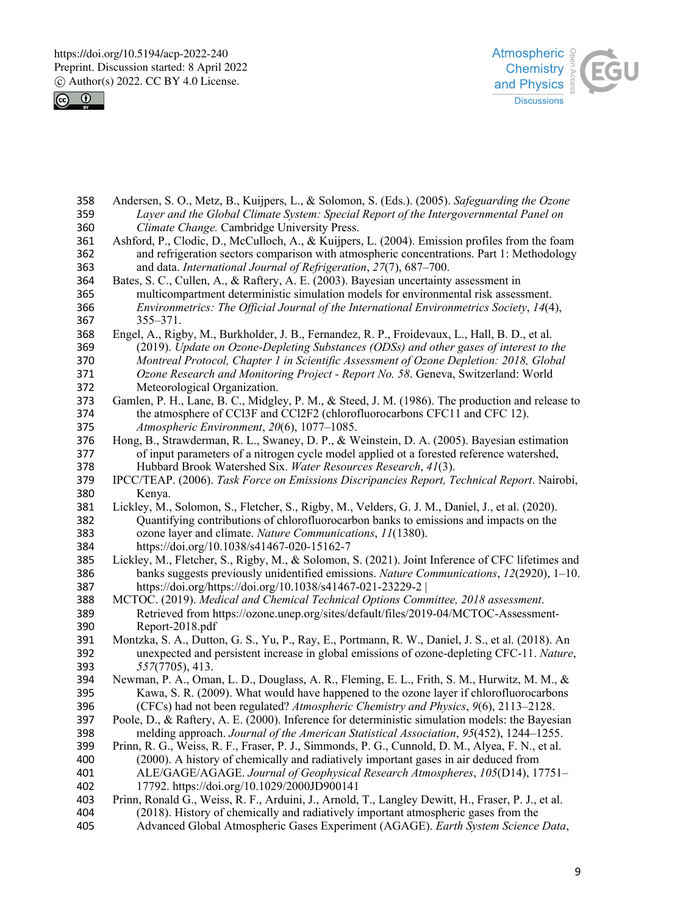



| 358        | Andersen, S. O., Metz, B., Kuijpers, L., & Solomon, S. (Eds.). (2005). Safeguarding the Ozone        |
|------------|------------------------------------------------------------------------------------------------------|
| 359        | Layer and the Global Climate System: Special Report of the Intergovernmental Panel on                |
| 360        | Climate Change. Cambridge University Press.                                                          |
| 361        | Ashford, P., Clodic, D., McCulloch, A., & Kuijpers, L. (2004). Emission profiles from the foam       |
| 362        | and refrigeration sectors comparison with atmospheric concentrations. Part 1: Methodology            |
| 363        | and data. International Journal of Refrigeration, 27(7), 687-700.                                    |
| 364        | Bates, S. C., Cullen, A., & Raftery, A. E. (2003). Bayesian uncertainty assessment in                |
| 365        | multicompartment deterministic simulation models for environmental risk assessment.                  |
| 366<br>367 | Environmetrics: The Official Journal of the International Environmetrics Society, 14(4),<br>355-371. |
| 368        | Engel, A., Rigby, M., Burkholder, J. B., Fernandez, R. P., Froidevaux, L., Hall, B. D., et al.       |
| 369        | (2019). Update on Ozone-Depleting Substances (ODSs) and other gases of interest to the               |
| 370        | Montreal Protocol, Chapter 1 in Scientific Assessment of Ozone Depletion: 2018, Global               |
| 371        | Ozone Research and Monitoring Project - Report No. 58. Geneva, Switzerland: World                    |
| 372        | Meteorological Organization.                                                                         |
| 373        | Gamlen, P. H., Lane, B. C., Midgley, P. M., & Steed, J. M. (1986). The production and release to     |
| 374        | the atmosphere of CCl3F and CCl2F2 (chlorofluorocarbons CFC11 and CFC 12).                           |
| 375        | Atmospheric Environment, 20(6), 1077-1085.                                                           |
| 376        | Hong, B., Strawderman, R. L., Swaney, D. P., & Weinstein, D. A. (2005). Bayesian estimation          |
| 377        | of input parameters of a nitrogen cycle model applied ot a forested reference watershed,             |
| 378        | Hubbard Brook Watershed Six. Water Resources Research, 41(3).                                        |
| 379        | IPCC/TEAP. (2006). Task Force on Emissions Discripancies Report, Technical Report. Nairobi,          |
| 380        | Kenya.                                                                                               |
| 381        | Lickley, M., Solomon, S., Fletcher, S., Rigby, M., Velders, G. J. M., Daniel, J., et al. (2020).     |
| 382        | Quantifying contributions of chlorofluorocarbon banks to emissions and impacts on the                |
| 383        | ozone layer and climate. Nature Communications, 11(1380).                                            |
| 384        | https://doi.org/10.1038/s41467-020-15162-7                                                           |
| 385        | Lickley, M., Fletcher, S., Rigby, M., & Solomon, S. (2021). Joint Inference of CFC lifetimes and     |
| 386        | banks suggests previously unidentified emissions. Nature Communications, $12(2920)$ , $1-10$ .       |
| 387        | https://doi.org/https://doi.org/10.1038/s41467-021-23229-2                                           |
| 388        | MCTOC. (2019). Medical and Chemical Technical Options Committee, 2018 assessment.                    |
| 389        | Retrieved from https://ozone.unep.org/sites/default/files/2019-04/MCTOC-Assessment-                  |
| 390        | Report-2018.pdf                                                                                      |
| 391        | Montzka, S. A., Dutton, G. S., Yu, P., Ray, E., Portmann, R. W., Daniel, J. S., et al. (2018). An    |
| 392        | unexpected and persistent increase in global emissions of ozone-depleting CFC-11. Nature,            |
| 393        | 557(7705), 413.                                                                                      |
| 394        | Newman, P. A., Oman, L. D., Douglass, A. R., Fleming, E. L., Frith, S. M., Hurwitz, M. M., &         |
| 395        | Kawa, S. R. (2009). What would have happened to the ozone layer if chlorofluorocarbons               |
| 396        | (CFCs) had not been regulated? Atmospheric Chemistry and Physics, 9(6), 2113–2128.                   |
| 397        | Poole, D., & Raftery, A. E. (2000). Inference for deterministic simulation models: the Bayesian      |
| 398        | melding approach. Journal of the American Statistical Association, 95(452), 1244–1255.               |
| 399        | Prinn, R. G., Weiss, R. F., Fraser, P. J., Simmonds, P. G., Cunnold, D. M., Alyea, F. N., et al.     |
| 400        | (2000). A history of chemically and radiatively important gases in air deduced from                  |
| 401        | ALE/GAGE/AGAGE. Journal of Geophysical Research Atmospheres, 105(D14), 17751-                        |
| 402        | 17792. https://doi.org/10.1029/2000JD900141                                                          |
| 403        | Prinn, Ronald G., Weiss, R. F., Arduini, J., Arnold, T., Langley Dewitt, H., Fraser, P. J., et al.   |
| 404        | (2018). History of chemically and radiatively important atmospheric gases from the                   |
| 405        | Advanced Global Atmospheric Gases Experiment (AGAGE). Earth System Science Data,                     |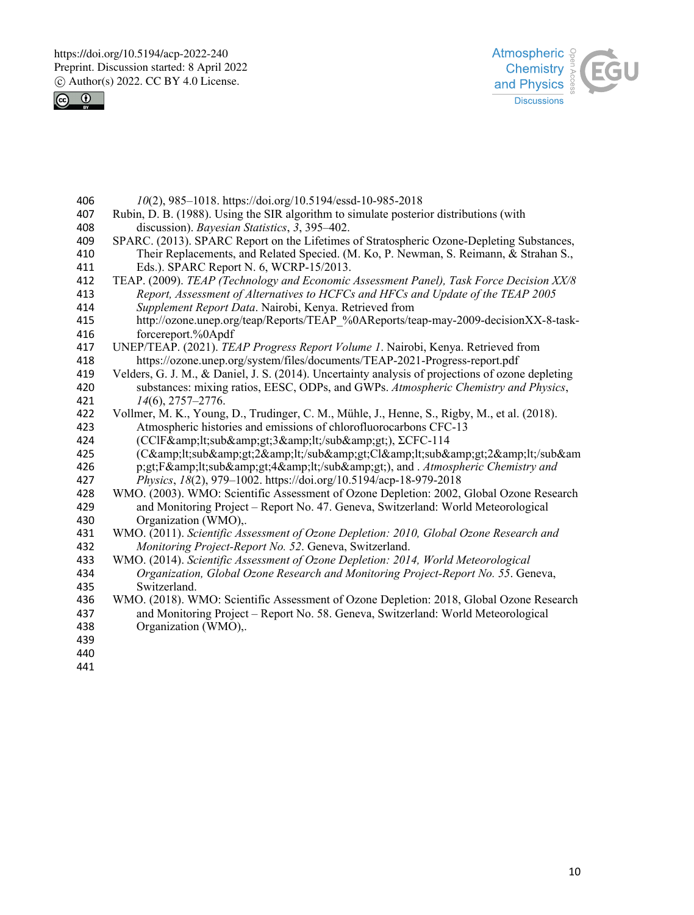



- *10*(2), 985–1018. https://doi.org/10.5194/essd-10-985-2018 Rubin, D. B. (1988). Using the SIR algorithm to simulate posterior distributions (with discussion). *Bayesian Statistics*, *3*, 395–402. SPARC. (2013). SPARC Report on the Lifetimes of Stratospheric Ozone-Depleting Substances, Their Replacements, and Related Specied. (M. Ko, P. Newman, S. Reimann, & Strahan S., 411 Eds.). SPARC Report N. 6, WCRP-15/2013.<br>412 TEAP. (2009). *TEAP (Technology and Economic*  TEAP. (2009). *TEAP (Technology and Economic Assessment Panel), Task Force Decision XX/8 Report, Assessment of Alternatives to HCFCs and HFCs and Update of the TEAP 2005 Supplement Report Data*. Nairobi, Kenya. Retrieved from http://ozone.unep.org/teap/Reports/TEAP\_%0AReports/teap-may-2009-decisionXX-8-taskforcereport.%0Apdf UNEP/TEAP. (2021). *TEAP Progress Report Volume 1*. Nairobi, Kenya. Retrieved from https://ozone.unep.org/system/files/documents/TEAP-2021-Progress-report.pdf Velders, G. J. M., & Daniel, J. S. (2014). Uncertainty analysis of projections of ozone depleting substances: mixing ratios, EESC, ODPs, and GWPs. *Atmospheric Chemistry and Physics*, 421 *14*(6), 2757–2776.<br>422 Vollmer, M. K., Young. Vollmer, M. K., Young, D., Trudinger, C. M., Mühle, J., Henne, S., Rigby, M., et al. (2018). Atmospheric histories and emissions of chlorofluorocarbons CFC-13 424 (CClF<sub&amp;gt;3&amp;lt;/sub&amp;gt;), ΣCFC-114<br>425 (C&amp;lt;sub&amp;gt;2&amp;lt;/sub&amp;gt;Cl&amp;lt;sub&a 425 (C<sub&amp;gt;2&amp;lt;/sub&amp;gt;Cl&amp;lt;sub&amp;gt;2&amp;lt;/sub&am<br>426 p:gt:F&amp:lt:sub&amp:gt:4&amp:lt:/sub&amp:gt;), and . Atmospheric Chemistry and 426 p;gt;F<sub&amp;gt;4&amp;lt;/sub&amp;gt;), and . *Atmospheric Chemistry and* 427 *Physics, 18*(2), 979–1002. https://doi.org/10.5194/acp-18-979-2018 *Physics*, *18*(2), 979–1002. https://doi.org/10.5194/acp-18-979-2018
- WMO. (2003). WMO: Scientific Assessment of Ozone Depletion: 2002, Global Ozone Research and Monitoring Project – Report No. 47. Geneva, Switzerland: World Meteorological Organization (WMO),.
- WMO. (2011). *Scientific Assessment of Ozone Depletion: 2010, Global Ozone Research and Monitoring Project-Report No. 52*. Geneva, Switzerland.
- WMO. (2014). *Scientific Assessment of Ozone Depletion: 2014, World Meteorological Organization, Global Ozone Research and Monitoring Project-Report No. 55*. Geneva, Switzerland.
- WMO. (2018). WMO: Scientific Assessment of Ozone Depletion: 2018, Global Ozone Research and Monitoring Project – Report No. 58. Geneva, Switzerland: World Meteorological Organization (WMO),.
- 
- 
-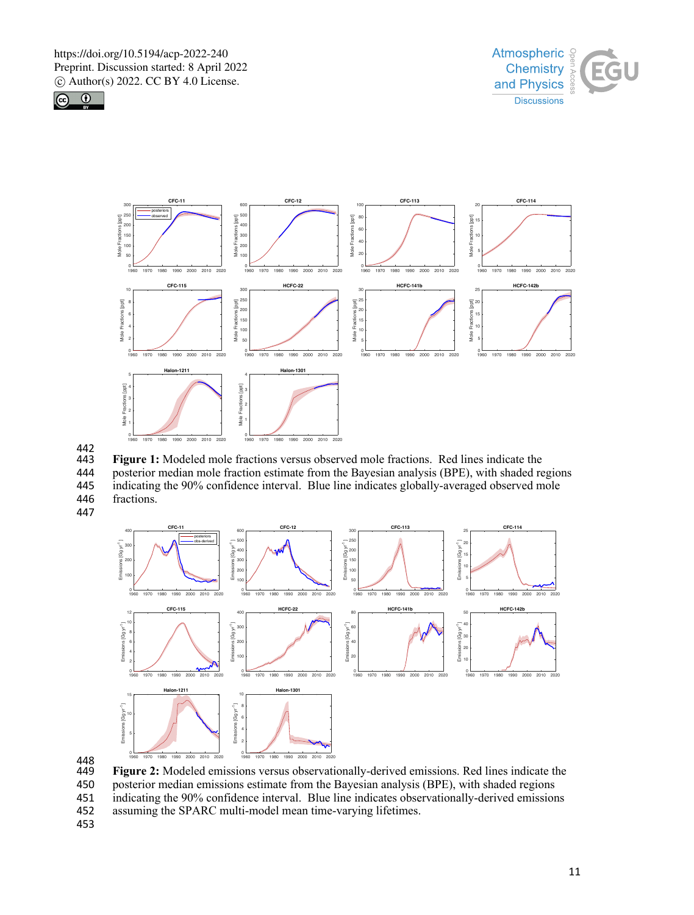







 **Figure 1:** Modeled mole fractions versus observed mole fractions. Red lines indicate the 444 posterior median mole fraction estimate from the Bayesian analysis (BPE), with shaded regions<br>445 indicating the 90% confidence interval. Blue line indicates globally-averaged observed mole indicating the 90% confidence interval. Blue line indicates globally-averaged observed mole

fractions.



448<br>449 **Figure 2:** Modeled emissions versus observationally-derived emissions. Red lines indicate the 450 posterior median emissions estimate from the Bayesian analysis (BPE), with shaded regions<br>451 indicating the 90% confidence interval. Blue line indicates observationally-derived emission indicating the 90% confidence interval. Blue line indicates observationally-derived emissions

- assuming the SPARC multi-model mean time-varying lifetimes.
-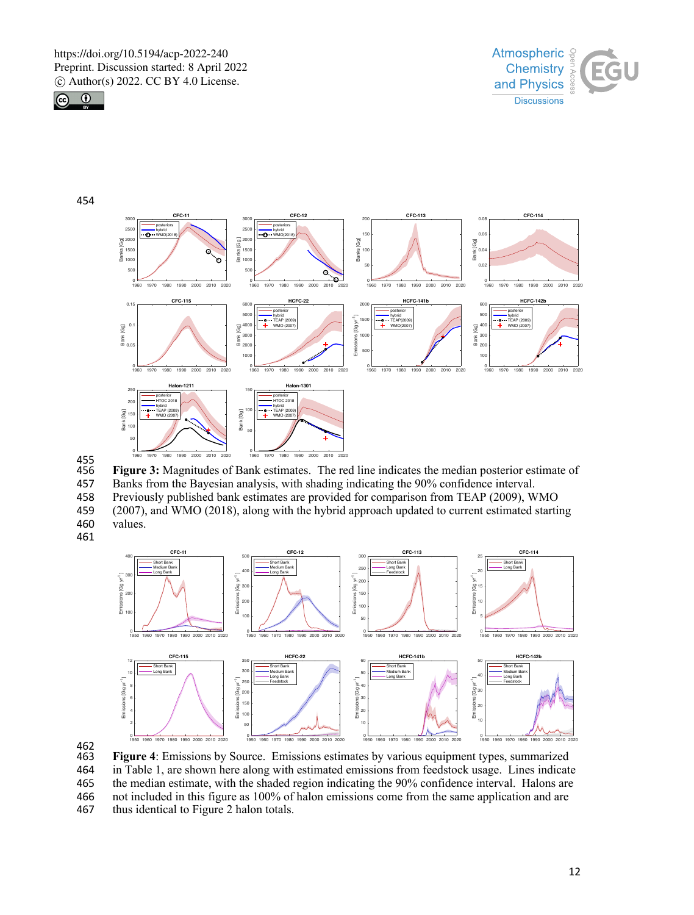



454



455<br>456 456 **Figure 3:** Magnitudes of Bank estimates. The red line indicates the median posterior estimate of 457 Banks from the Bayesian analysis, with shading indicating the 90% confidence interval. 458 Previously published bank estimates are provided for comparison from TEAP (2009), WMO<br>459 (2007), and WMO (2018), along with the hybrid approach updated to current estimated starti 459 (2007), and WMO (2018), along with the hybrid approach updated to current estimated starting

460 values.



462<br>463 **Figure 4**: Emissions by Source. Emissions estimates by various equipment types, summarized 464 in Table 1, are shown here along with estimated emissions from feedstock usage. Lines indicate 465 the median estimate, with the shaded region indicating the 90% confidence interval. Halons are 466 not included in this figure as 100% of halon emissions come from the same application and are 467 thus identical to Figure 2 halon totals. thus identical to Figure 2 halon totals.